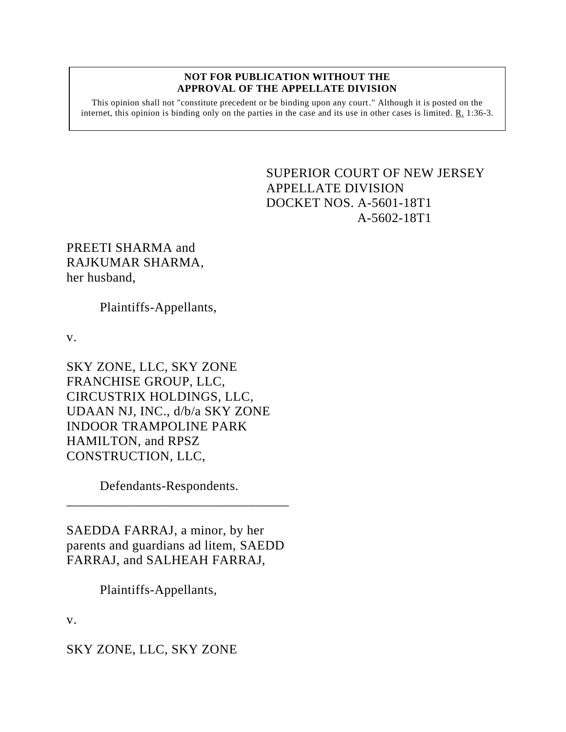## **NOT FOR PUBLICATION WITHOUT THE APPROVAL OF THE APPELLATE DIVISION**

This opinion shall not "constitute precedent or be binding upon any court." Although it is posted on the internet, this opinion is binding only on the parties in the case and its use in other cases is limited. R. 1:36-3.

> <span id="page-0-0"></span>SUPERIOR COURT OF NEW JERSEY APPELLATE DIVISION DOCKET NOS. A-5601-18T1 A-5602-18T1

PREETI SHARMA and RAJKUMAR SHARMA, her husband,

Plaintiffs-Appellants,

v.

SKY ZONE, LLC, SKY ZONE FRANCHISE GROUP, LLC, CIRCUSTRIX HOLDINGS, LLC, UDAAN NJ, INC., d/b/a SKY ZONE INDOOR TRAMPOLINE PARK HAMILTON, and RPSZ CONSTRUCTION, LLC,

Defendants-Respondents.

SAEDDA FARRAJ, a minor, by her parents and guardians ad litem, SAEDD FARRAJ, and SALHEAH FARRAJ,

\_\_\_\_\_\_\_\_\_\_\_\_\_\_\_\_\_\_\_\_\_\_\_\_\_\_\_\_\_\_\_\_\_

Plaintiffs-Appellants,

v.

SKY ZONE, LLC, SKY ZONE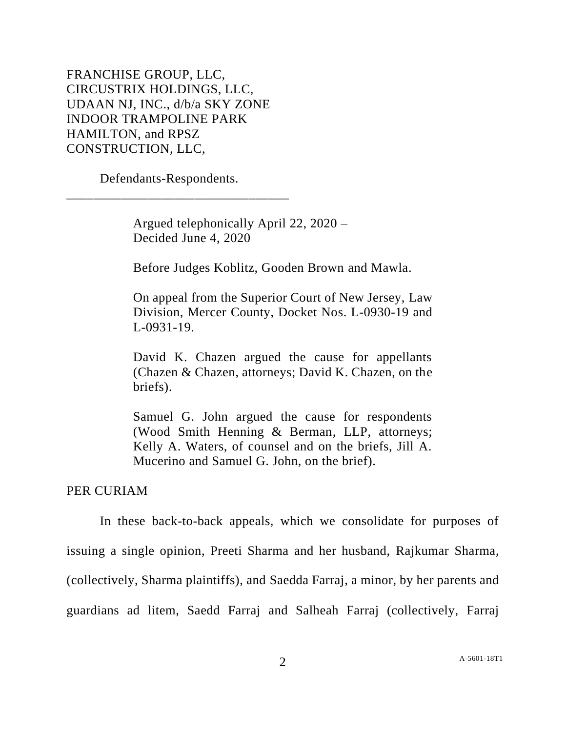FRANCHISE GROUP, LLC, CIRCUSTRIX HOLDINGS, LLC, UDAAN NJ, INC., d/b/a SKY ZONE INDOOR TRAMPOLINE PARK HAMILTON, and RPSZ CONSTRUCTION, LLC,

Defendants-Respondents.

\_\_\_\_\_\_\_\_\_\_\_\_\_\_\_\_\_\_\_\_\_\_\_\_\_\_\_\_\_\_\_\_\_

Argued telephonically April 22, 2020 – Decided June 4, 2020

Before Judges Koblitz, Gooden Brown and Mawla.

On appeal from the Superior Court of New Jersey, Law Division, Mercer County, Docket Nos. L-0930-19 and L-0931-19.

David K. Chazen argued the cause for appellants (Chazen & Chazen, attorneys; David K. Chazen, on the briefs).

Samuel G. John argued the cause for respondents (Wood Smith Henning & Berman, LLP, attorneys; Kelly A. Waters, of counsel and on the briefs, Jill A. Mucerino and Samuel G. John, on the brief).

## PER CURIAM

In these back-to-back appeals, which we consolidate for purposes of issuing a single opinion, Preeti Sharma and her husband, Rajkumar Sharma, (collectively, Sharma plaintiffs), and Saedda Farraj, a minor, by her parents and guardians ad litem, Saedd Farraj and Salheah Farraj (collectively, Farraj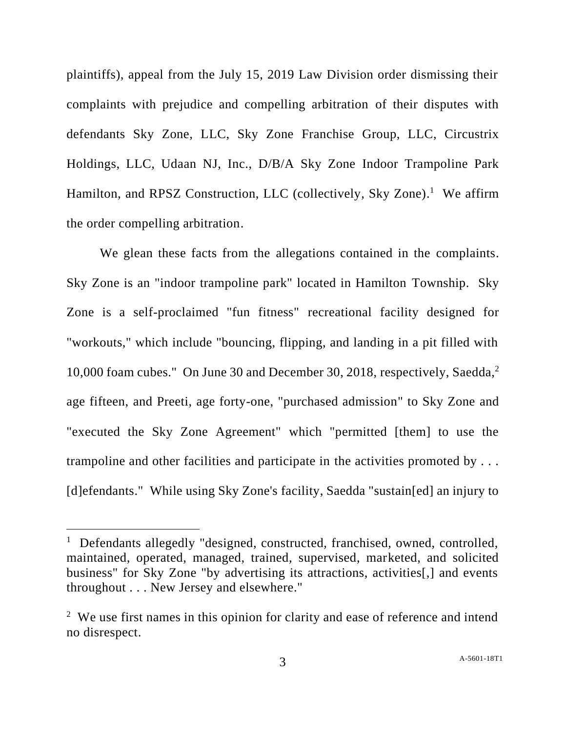plaintiffs), appeal from the July 15, 2019 Law Division order dismissing their complaints with prejudice and compelling arbitration of their disputes with defendants Sky Zone, LLC, Sky Zone Franchise Group, LLC, Circustrix Holdings, LLC, Udaan NJ, Inc., D/B/A Sky Zone Indoor Trampoline Park Hamilton, and RPSZ Construction, LLC (collectively, Sky Zone).<sup>1</sup> We affirm the order compelling arbitration.

We glean these facts from the allegations contained in the complaints. Sky Zone is an "indoor trampoline park" located in Hamilton Township. Sky Zone is a self-proclaimed "fun fitness" recreational facility designed for "workouts," which include "bouncing, flipping, and landing in a pit filled with 10,000 foam cubes." On June 30 and December 30, 2018, respectively, Saedda,<sup>2</sup> age fifteen, and Preeti, age forty-one, "purchased admission" to Sky Zone and "executed the Sky Zone Agreement" which "permitted [them] to use the trampoline and other facilities and participate in the activities promoted by . . . [d]efendants." While using Sky Zone's facility, Saedda "sustain[ed] an injury to

<sup>&</sup>lt;sup>1</sup> Defendants allegedly "designed, constructed, franchised, owned, controlled, maintained, operated, managed, trained, supervised, marketed, and solicited business" for Sky Zone "by advertising its attractions, activities[,] and events throughout . . . New Jersey and elsewhere."

 $2$  We use first names in this opinion for clarity and ease of reference and intend no disrespect.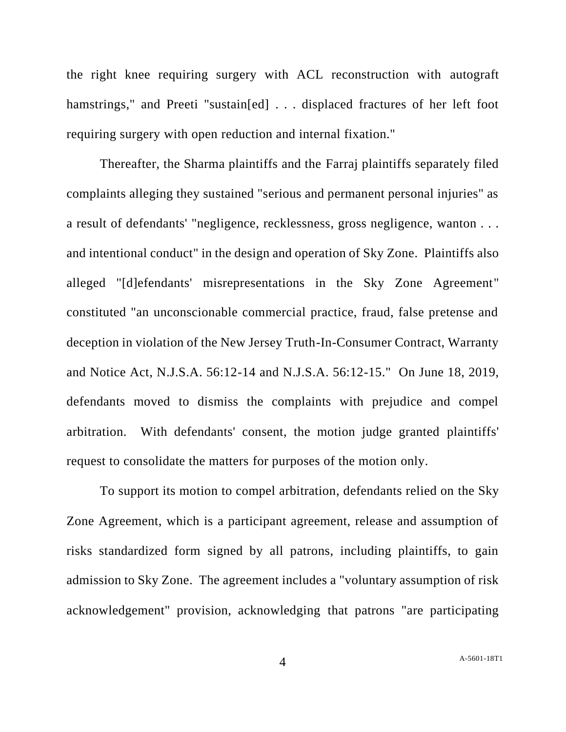the right knee requiring surgery with ACL reconstruction with autograft hamstrings," and Preeti "sustain[ed] . . . displaced fractures of her left foot requiring surgery with open reduction and internal fixation."

Thereafter, the Sharma plaintiffs and the Farraj plaintiffs separately filed complaints alleging they sustained "serious and permanent personal injuries" as a result of defendants' "negligence, recklessness, gross negligence, wanton . . . and intentional conduct" in the design and operation of Sky Zone. Plaintiffs also alleged "[d]efendants' misrepresentations in the Sky Zone Agreement" constituted "an unconscionable commercial practice, fraud, false pretense and deception in violation of the New Jersey Truth-In-Consumer Contract, Warranty and Notice Act, N.J.S.A. 56:12-14 and N.J.S.A. 56:12-15." On June 18, 2019, defendants moved to dismiss the complaints with prejudice and compel arbitration. With defendants' consent, the motion judge granted plaintiffs' request to consolidate the matters for purposes of the motion only.

To support its motion to compel arbitration, defendants relied on the Sky Zone Agreement, which is a participant agreement, release and assumption of risks standardized form signed by all patrons, including plaintiffs, to gain admission to Sky Zone. The agreement includes a "voluntary assumption of risk acknowledgement" provision, acknowledging that patrons "are participating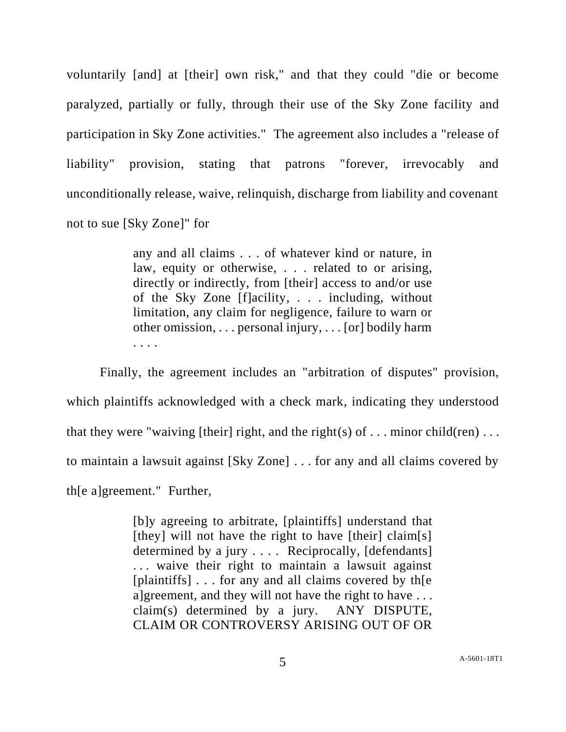voluntarily [and] at [their] own risk," and that they could "die or become paralyzed, partially or fully, through their use of the Sky Zone facility and participation in Sky Zone activities." The agreement also includes a "release of liability" provision, stating that patrons "forever, irrevocably and unconditionally release, waive, relinquish, discharge from liability and covenant not to sue [Sky Zone]" for

> any and all claims . . . of whatever kind or nature, in law, equity or otherwise, . . . related to or arising, directly or indirectly, from [their] access to and/or use of the Sky Zone [f]acility, . . . including, without limitation, any claim for negligence, failure to warn or other omission, . . . personal injury, . . . [or] bodily harm . . . .

Finally, the agreement includes an "arbitration of disputes" provision, which plaintiffs acknowledged with a check mark, indicating they understood that they were "waiving [their] right, and the right(s) of  $\dots$  minor child(ren)  $\dots$ to maintain a lawsuit against [Sky Zone] . . . for any and all claims covered by th[e a]greement." Further,

> [b]y agreeing to arbitrate, [plaintiffs] understand that [they] will not have the right to have [their] claim[s] determined by a jury . . . . Reciprocally, [defendants] . . . waive their right to maintain a lawsuit against [plaintiffs] . . . for any and all claims covered by the a]greement, and they will not have the right to have  $\dots$ claim(s) determined by a jury. ANY DISPUTE, CLAIM OR CONTROVERSY ARISING OUT OF OR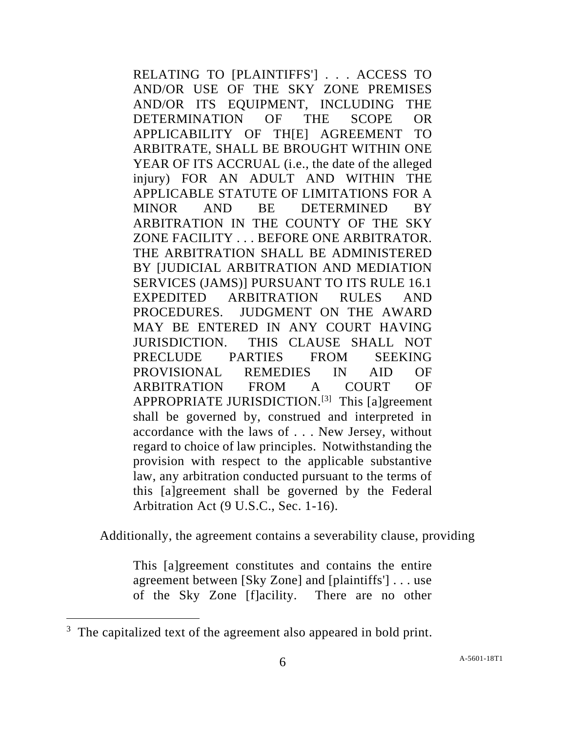RELATING TO [PLAINTIFFS'] . . . ACCESS TO AND/OR USE OF THE SKY ZONE PREMISES AND/OR ITS EQUIPMENT, INCLUDING THE DETERMINATION OF THE SCOPE OR APPLICABILITY OF TH[E] AGREEMENT TO ARBITRATE, SHALL BE BROUGHT WITHIN ONE YEAR OF ITS ACCRUAL (i.e., the date of the alleged injury) FOR AN ADULT AND WITHIN THE APPLICABLE STATUTE OF LIMITATIONS FOR A MINOR AND BE DETERMINED BY ARBITRATION IN THE COUNTY OF THE SKY ZONE FACILITY . . . BEFORE ONE ARBITRATOR. THE ARBITRATION SHALL BE ADMINISTERED BY [JUDICIAL ARBITRATION AND MEDIATION SERVICES (JAMS)] PURSUANT TO ITS RULE 16.1 EXPEDITED ARBITRATION RULES AND PROCEDURES. JUDGMENT ON THE AWARD MAY BE ENTERED IN ANY COURT HAVING JURISDICTION. THIS CLAUSE SHALL NOT PRECLUDE PARTIES FROM SEEKING PROVISIONAL REMEDIES IN AID OF ARBITRATION FROM A COURT OF APPROPRIATE JURISDICTION.<sup>[3]</sup> This [a]greement shall be governed by, construed and interpreted in accordance with the laws of . . . New Jersey, without regard to choice of law principles. Notwithstanding the provision with respect to the applicable substantive law, any arbitration conducted pursuant to the terms of this [a]greement shall be governed by the Federal Arbitration Act (9 U.S.C., Sec. 1-16).

Additionally, the agreement contains a severability clause, providing

This [a]greement constitutes and contains the entire agreement between [Sky Zone] and [plaintiffs'] . . . use of the Sky Zone [f]acility. There are no other

<sup>&</sup>lt;sup>3</sup> The capitalized text of the agreement also appeared in bold print.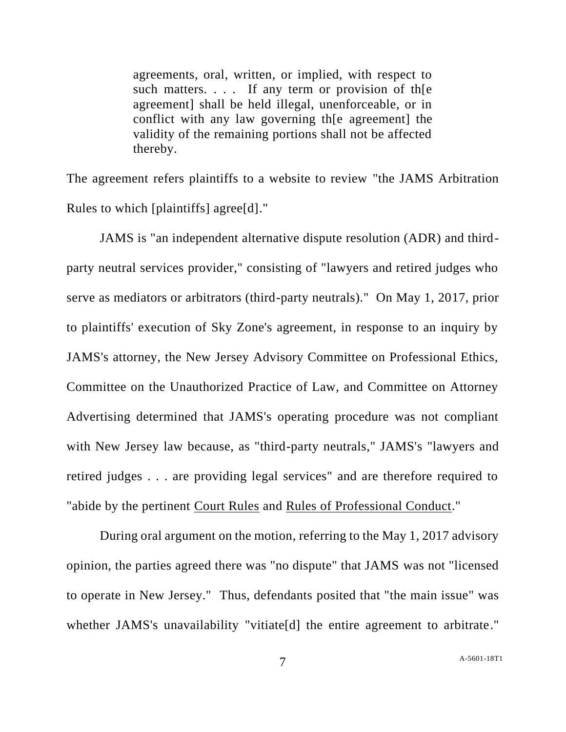agreements, oral, written, or implied, with respect to such matters. . . . If any term or provision of th[e agreement] shall be held illegal, unenforceable, or in conflict with any law governing th[e agreement] the validity of the remaining portions shall not be affected thereby.

The agreement refers plaintiffs to a website to review "the JAMS Arbitration Rules to which [plaintiffs] agree[d]."

JAMS is "an independent alternative dispute resolution (ADR) and thirdparty neutral services provider," consisting of "lawyers and retired judges who serve as mediators or arbitrators (third-party neutrals)." On May 1, 2017, prior to plaintiffs' execution of Sky Zone's agreement, in response to an inquiry by JAMS's attorney, the New Jersey Advisory Committee on Professional Ethics, Committee on the Unauthorized Practice of Law, and Committee on Attorney Advertising determined that JAMS's operating procedure was not compliant with New Jersey law because, as "third-party neutrals," JAMS's "lawyers and retired judges . . . are providing legal services" and are therefore required to "abide by the pertinent Court Rules and Rules of Professional Conduct."

During oral argument on the motion, referring to the May 1, 2017 advisory opinion, the parties agreed there was "no dispute" that JAMS was not "licensed to operate in New Jersey." Thus, defendants posited that "the main issue" was whether JAMS's unavailability "vitiate<sup>[d]</sup> the entire agreement to arbitrate."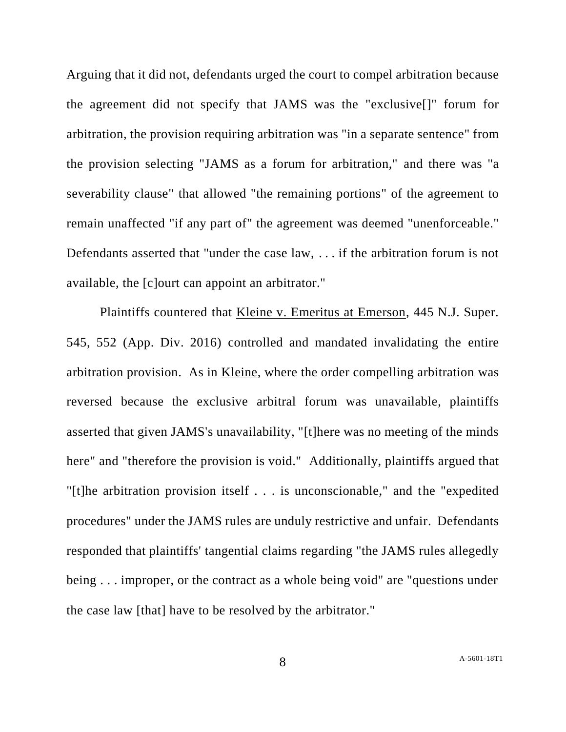Arguing that it did not, defendants urged the court to compel arbitration because the agreement did not specify that JAMS was the "exclusive[]" forum for arbitration, the provision requiring arbitration was "in a separate sentence" from the provision selecting "JAMS as a forum for arbitration," and there was "a severability clause" that allowed "the remaining portions" of the agreement to remain unaffected "if any part of" the agreement was deemed "unenforceable." Defendants asserted that "under the case law, . . . if the arbitration forum is not available, the [c]ourt can appoint an arbitrator."

Plaintiffs countered that Kleine v. Emeritus at Emerson, 445 N.J. Super. 545, 552 (App. Div. 2016) controlled and mandated invalidating the entire arbitration provision. As in Kleine, where the order compelling arbitration was reversed because the exclusive arbitral forum was unavailable, plaintiffs asserted that given JAMS's unavailability, "[t]here was no meeting of the minds here" and "therefore the provision is void." Additionally, plaintiffs argued that "[t]he arbitration provision itself . . . is unconscionable," and the "expedited procedures" under the JAMS rules are unduly restrictive and unfair. Defendants responded that plaintiffs' tangential claims regarding "the JAMS rules allegedly being . . . improper, or the contract as a whole being void" are "questions under the case law [that] have to be resolved by the arbitrator."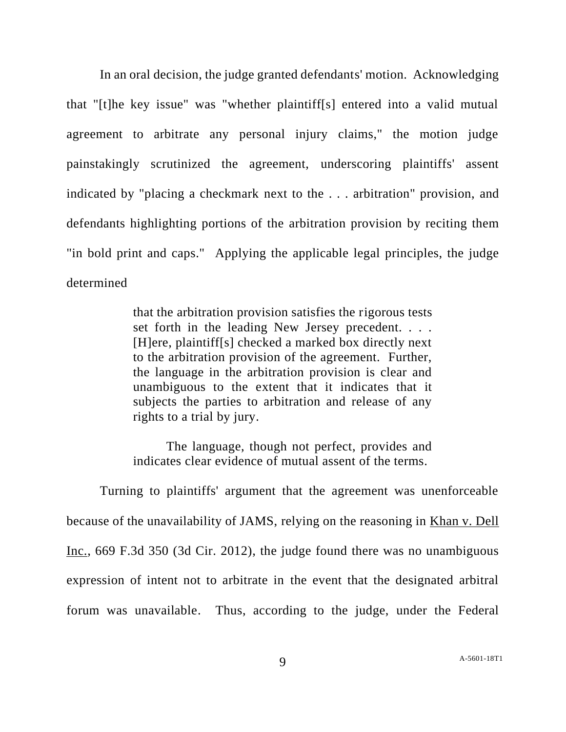In an oral decision, the judge granted defendants' motion. Acknowledging that "[t]he key issue" was "whether plaintiff[s] entered into a valid mutual agreement to arbitrate any personal injury claims," the motion judge painstakingly scrutinized the agreement, underscoring plaintiffs' assent indicated by "placing a checkmark next to the . . . arbitration" provision, and defendants highlighting portions of the arbitration provision by reciting them "in bold print and caps." Applying the applicable legal principles, the judge determined

> that the arbitration provision satisfies the rigorous tests set forth in the leading New Jersey precedent. . . . [H]ere, plaintiff[s] checked a marked box directly next to the arbitration provision of the agreement. Further, the language in the arbitration provision is clear and unambiguous to the extent that it indicates that it subjects the parties to arbitration and release of any rights to a trial by jury.

> The language, though not perfect, provides and indicates clear evidence of mutual assent of the terms.

Turning to plaintiffs' argument that the agreement was unenforceable because of the unavailability of JAMS, relying on the reasoning in Khan v. Dell Inc., 669 F.3d 350 (3d Cir. 2012), the judge found there was no unambiguous expression of intent not to arbitrate in the event that the designated arbitral forum was unavailable. Thus, according to the judge, under the Federal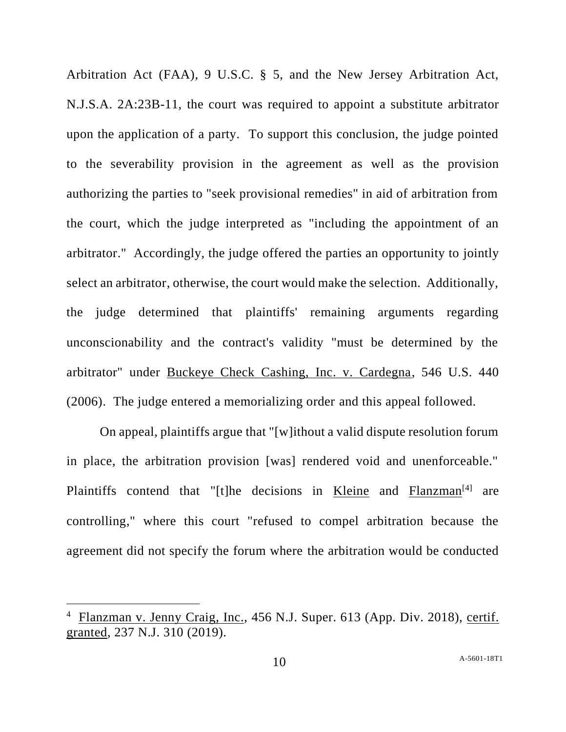Arbitration Act (FAA), 9 U.S.C. § 5, and the New Jersey Arbitration Act, N.J.S.A. 2A:23B-11, the court was required to appoint a substitute arbitrator upon the application of a party. To support this conclusion, the judge pointed to the severability provision in the agreement as well as the provision authorizing the parties to "seek provisional remedies" in aid of arbitration from the court, which the judge interpreted as "including the appointment of an arbitrator." Accordingly, the judge offered the parties an opportunity to jointly select an arbitrator, otherwise, the court would make the selection. Additionally, the judge determined that plaintiffs' remaining arguments regarding unconscionability and the contract's validity "must be determined by the arbitrator" under Buckeye Check Cashing, Inc. v. Cardegna, 546 U.S. 440 (2006). The judge entered a memorializing order and this appeal followed.

On appeal, plaintiffs argue that "[w]ithout a valid dispute resolution forum in place, the arbitration provision [was] rendered void and unenforceable." Plaintiffs contend that "[t]he decisions in Kleine and Flanzman<sup>[4]</sup> are controlling," where this court "refused to compel arbitration because the agreement did not specify the forum where the arbitration would be conducted

<sup>&</sup>lt;sup>4</sup> Flanzman v. Jenny Craig, Inc., 456 N.J. Super. 613 (App. Div. 2018), certif. granted, 237 N.J. 310 (2019).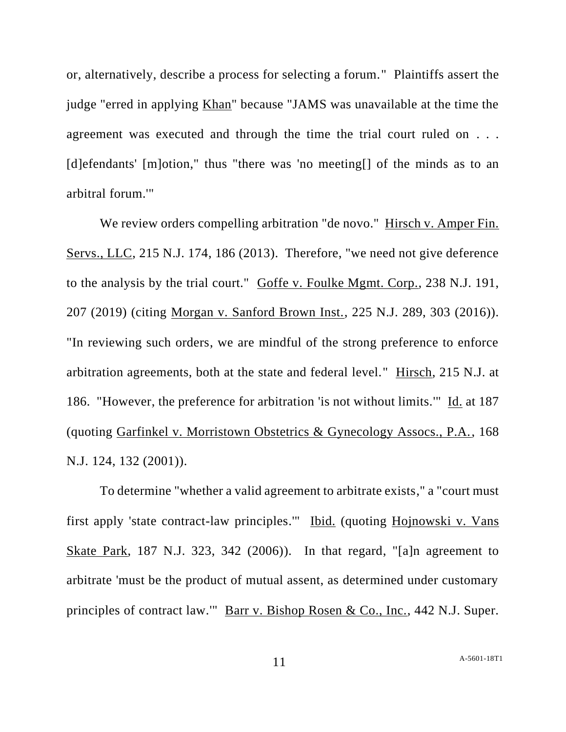or, alternatively, describe a process for selecting a forum." Plaintiffs assert the judge "erred in applying Khan" because "JAMS was unavailable at the time the agreement was executed and through the time the trial court ruled on . . . [d]efendants' [m]otion," thus "there was 'no meeting[] of the minds as to an arbitral forum.'"

We review orders compelling arbitration "de novo." Hirsch v. Amper Fin. Servs., LLC, 215 N.J. 174, 186 (2013). Therefore, "we need not give deference to the analysis by the trial court." Goffe v. Foulke Mgmt. Corp., 238 N.J. 191, 207 (2019) (citing Morgan v. Sanford Brown Inst., 225 N.J. 289, 303 (2016)). "In reviewing such orders, we are mindful of the strong preference to enforce arbitration agreements, both at the state and federal level." Hirsch, 215 N.J. at 186. "However, the preference for arbitration 'is not without limits.'" Id. at 187 (quoting Garfinkel v. Morristown Obstetrics & Gynecology Assocs., P.A., 168 N.J. 124, 132 (2001)).

To determine "whether a valid agreement to arbitrate exists," a "court must first apply 'state contract-law principles.'" Ibid. (quoting Hojnowski v. Vans Skate Park, 187 N.J. 323, 342 (2006)). In that regard, "[a]n agreement to arbitrate 'must be the product of mutual assent, as determined under customary principles of contract law.'" Barr v. Bishop Rosen & Co., Inc., 442 N.J. Super.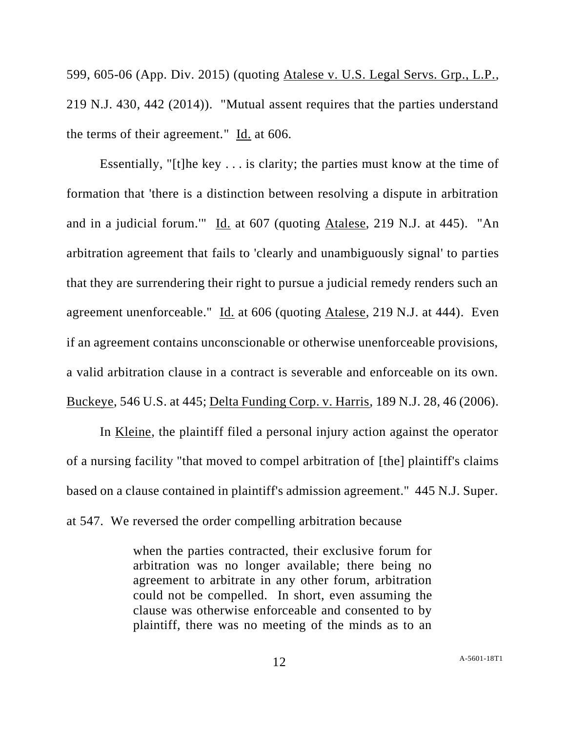599, 605-06 (App. Div. 2015) (quoting Atalese v. U.S. Legal Servs. Grp., L.P., 219 N.J. 430, 442 (2014)). "Mutual assent requires that the parties understand the terms of their agreement." Id. at 606.

Essentially, " $[t]$ he key . . . is clarity; the parties must know at the time of formation that 'there is a distinction between resolving a dispute in arbitration and in a judicial forum.'" Id. at 607 (quoting Atalese, 219 N.J. at 445). "An arbitration agreement that fails to 'clearly and unambiguously signal' to parties that they are surrendering their right to pursue a judicial remedy renders such an agreement unenforceable." Id. at 606 (quoting Atalese, 219 N.J. at 444). Even if an agreement contains unconscionable or otherwise unenforceable provisions, a valid arbitration clause in a contract is severable and enforceable on its own. Buckeye, 546 U.S. at 445; Delta Funding Corp. v. Harris, 189 N.J. 28, 46 (2006).

In Kleine, the plaintiff filed a personal injury action against the operator of a nursing facility "that moved to compel arbitration of [the] plaintiff's claims based on a clause contained in plaintiff's admission agreement." 445 N.J. Super. at 547. We reversed the order compelling arbitration because

> when the parties contracted, their exclusive forum for arbitration was no longer available; there being no agreement to arbitrate in any other forum, arbitration could not be compelled. In short, even assuming the clause was otherwise enforceable and consented to by plaintiff, there was no meeting of the minds as to an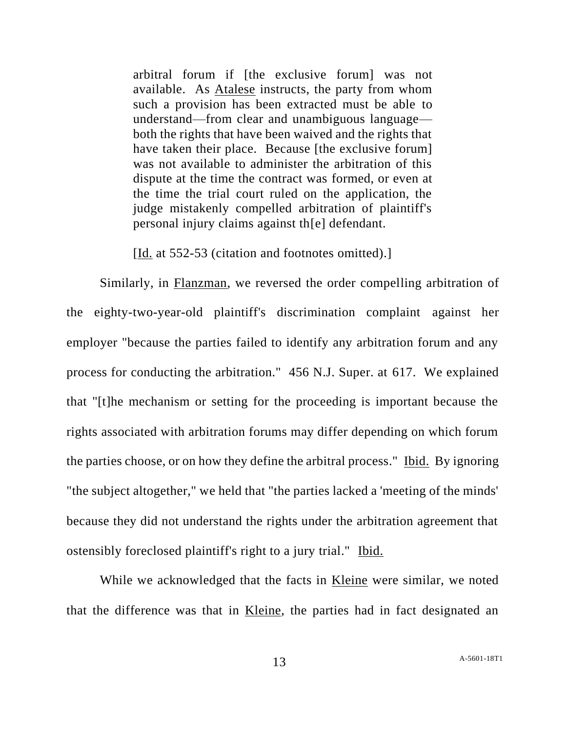arbitral forum if [the exclusive forum] was not available. As Atalese instructs, the party from whom such a provision has been extracted must be able to understand—from clear and unambiguous language both the rights that have been waived and the rights that have taken their place. Because [the exclusive forum] was not available to administer the arbitration of this dispute at the time the contract was formed, or even at the time the trial court ruled on the application, the judge mistakenly compelled arbitration of plaintiff's personal injury claims against th[e] defendant.

[Id. at 552-53 (citation and footnotes omitted).]

Similarly, in Flanzman, we reversed the order compelling arbitration of the eighty-two-year-old plaintiff's discrimination complaint against her employer "because the parties failed to identify any arbitration forum and any process for conducting the arbitration." 456 N.J. Super. at 617. We explained that "[t]he mechanism or setting for the proceeding is important because the rights associated with arbitration forums may differ depending on which forum the parties choose, or on how they define the arbitral process." Ibid. By ignoring "the subject altogether," we held that "the parties lacked a 'meeting of the minds' because they did not understand the rights under the arbitration agreement that ostensibly foreclosed plaintiff's right to a jury trial." Ibid.

While we acknowledged that the facts in Kleine were similar, we noted that the difference was that in Kleine, the parties had in fact designated an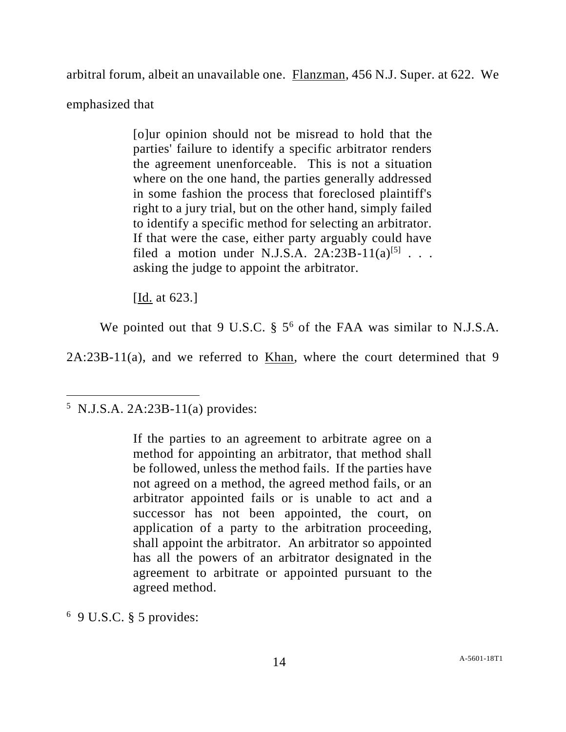arbitral forum, albeit an unavailable one. Flanzman, 456 N.J. Super. at 622. We

emphasized that

[o]ur opinion should not be misread to hold that the parties' failure to identify a specific arbitrator renders the agreement unenforceable. This is not a situation where on the one hand, the parties generally addressed in some fashion the process that foreclosed plaintiff's right to a jury trial, but on the other hand, simply failed to identify a specific method for selecting an arbitrator. If that were the case, either party arguably could have filed a motion under N.J.S.A.  $2A:23B-11(a)^{5}$ ... asking the judge to appoint the arbitrator.

[Id. at 623.]

We pointed out that 9 U.S.C.  $\S$  5<sup>6</sup> of the FAA was similar to N.J.S.A.

2A:23B-11(a), and we referred to Khan, where the court determined that 9

 $6$  9 U.S.C. § 5 provides:

 $5$  N.J.S.A. 2A:23B-11(a) provides:

If the parties to an agreement to arbitrate agree on a method for appointing an arbitrator, that method shall be followed, unless the method fails. If the parties have not agreed on a method, the agreed method fails, or an arbitrator appointed fails or is unable to act and a successor has not been appointed, the court, on application of a party to the arbitration proceeding, shall appoint the arbitrator. An arbitrator so appointed has all the powers of an arbitrator designated in the agreement to arbitrate or appointed pursuant to the agreed method.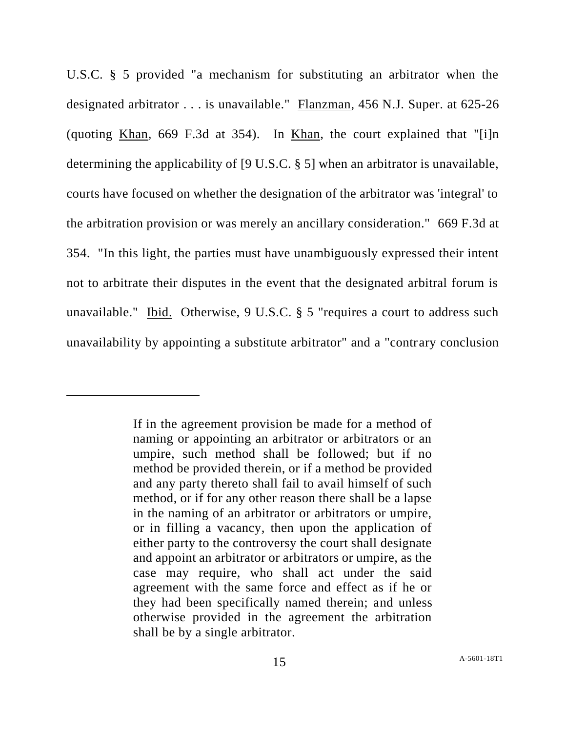U.S.C. § 5 provided "a mechanism for substituting an arbitrator when the designated arbitrator . . . is unavailable." Flanzman, 456 N.J. Super. at 625-26 (quoting Khan, 669 F.3d at 354). In Khan, the court explained that "[i]n determining the applicability of [9 U.S.C. § 5] when an arbitrator is unavailable, courts have focused on whether the designation of the arbitrator was 'integral' to the arbitration provision or was merely an ancillary consideration." 669 F.3d at 354. "In this light, the parties must have unambiguously expressed their intent not to arbitrate their disputes in the event that the designated arbitral forum is unavailable." Ibid. Otherwise, 9 U.S.C. § 5 "requires a court to address such unavailability by appointing a substitute arbitrator" and a "contrary conclusion

If in the agreement provision be made for a method of naming or appointing an arbitrator or arbitrators or an umpire, such method shall be followed; but if no method be provided therein, or if a method be provided and any party thereto shall fail to avail himself of such method, or if for any other reason there shall be a lapse in the naming of an arbitrator or arbitrators or umpire, or in filling a vacancy, then upon the application of either party to the controversy the court shall designate and appoint an arbitrator or arbitrators or umpire, as the case may require, who shall act under the said agreement with the same force and effect as if he or they had been specifically named therein; and unless otherwise provided in the agreement the arbitration shall be by a single arbitrator.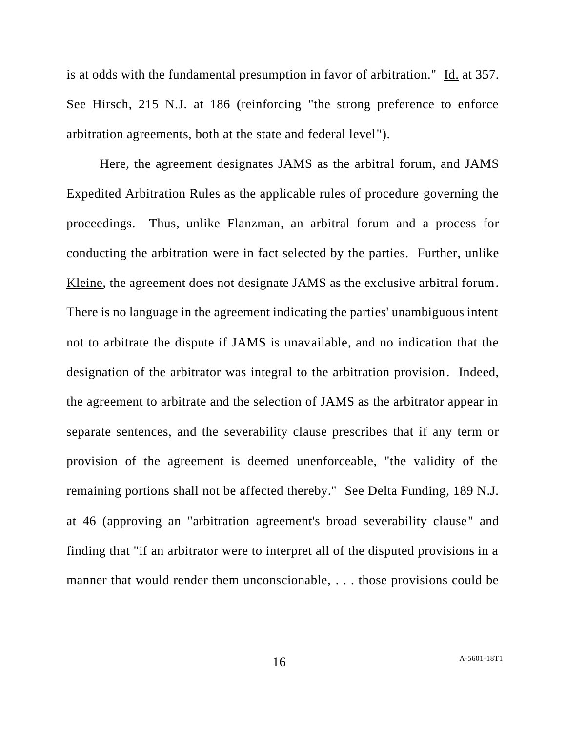is at odds with the fundamental presumption in favor of arbitration." Id. at 357. See Hirsch, 215 N.J. at 186 (reinforcing "the strong preference to enforce arbitration agreements, both at the state and federal level").

Here, the agreement designates JAMS as the arbitral forum, and JAMS Expedited Arbitration Rules as the applicable rules of procedure governing the proceedings. Thus, unlike Flanzman, an arbitral forum and a process for conducting the arbitration were in fact selected by the parties. Further, unlike Kleine, the agreement does not designate JAMS as the exclusive arbitral forum. There is no language in the agreement indicating the parties' unambiguous intent not to arbitrate the dispute if JAMS is unavailable, and no indication that the designation of the arbitrator was integral to the arbitration provision. Indeed, the agreement to arbitrate and the selection of JAMS as the arbitrator appear in separate sentences, and the severability clause prescribes that if any term or provision of the agreement is deemed unenforceable, "the validity of the remaining portions shall not be affected thereby." See Delta Funding, 189 N.J. at 46 (approving an "arbitration agreement's broad severability clause" and finding that "if an arbitrator were to interpret all of the disputed provisions in a manner that would render them unconscionable, ... those provisions could be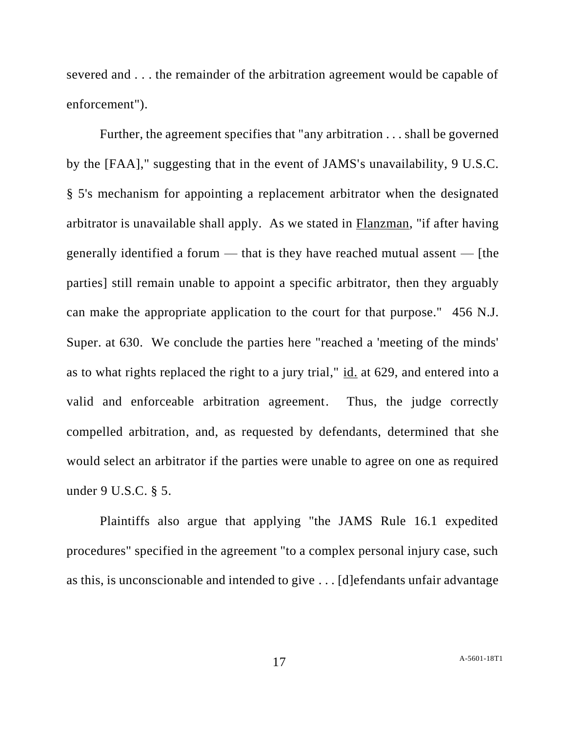severed and . . . the remainder of the arbitration agreement would be capable of enforcement").

Further, the agreement specifies that "any arbitration . . . shall be governed by the [FAA]," suggesting that in the event of JAMS's unavailability, 9 U.S.C. § 5's mechanism for appointing a replacement arbitrator when the designated arbitrator is unavailable shall apply. As we stated in Flanzman, "if after having generally identified a forum — that is they have reached mutual assent — [the parties] still remain unable to appoint a specific arbitrator, then they arguably can make the appropriate application to the court for that purpose." 456 N.J. Super. at 630. We conclude the parties here "reached a 'meeting of the minds' as to what rights replaced the right to a jury trial," id. at 629, and entered into a valid and enforceable arbitration agreement. Thus, the judge correctly compelled arbitration, and, as requested by defendants, determined that she would select an arbitrator if the parties were unable to agree on one as required under 9 U.S.C. § 5.

Plaintiffs also argue that applying "the JAMS Rule 16.1 expedited procedures" specified in the agreement "to a complex personal injury case, such as this, is unconscionable and intended to give . . . [d]efendants unfair advantage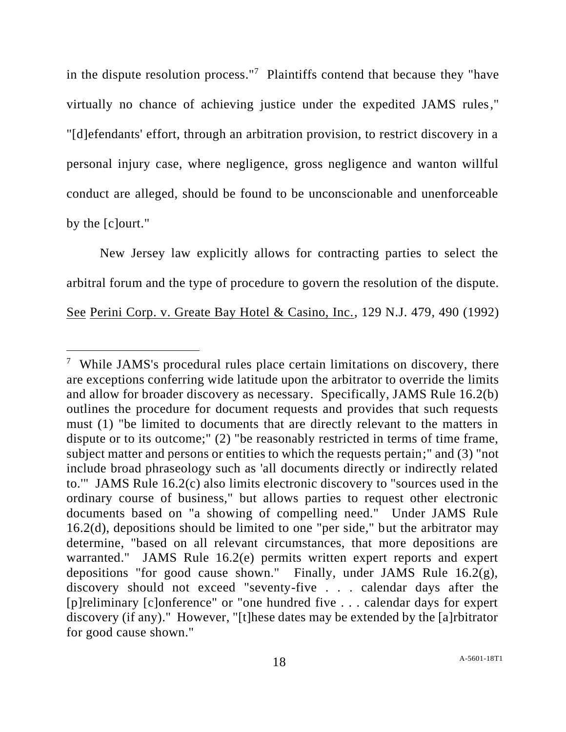in the dispute resolution process."<sup>7</sup> Plaintiffs contend that because they "have virtually no chance of achieving justice under the expedited JAMS rules," "[d]efendants' effort, through an arbitration provision, to restrict discovery in a personal injury case, where negligence, gross negligence and wanton willful conduct are alleged, should be found to be unconscionable and unenforceable by the [c]ourt."

New Jersey law explicitly allows for contracting parties to select the arbitral forum and the type of procedure to govern the resolution of the dispute. See Perini Corp. v. Greate Bay Hotel & Casino, Inc., 129 N.J. 479, 490 (1992)

<sup>&</sup>lt;sup>7</sup> While JAMS's procedural rules place certain limitations on discovery, there are exceptions conferring wide latitude upon the arbitrator to override the limits and allow for broader discovery as necessary. Specifically, JAMS Rule 16.2(b) outlines the procedure for document requests and provides that such requests must (1) "be limited to documents that are directly relevant to the matters in dispute or to its outcome;" (2) "be reasonably restricted in terms of time frame, subject matter and persons or entities to which the requests pertain;" and (3) "not include broad phraseology such as 'all documents directly or indirectly related to.'" JAMS Rule 16.2(c) also limits electronic discovery to "sources used in the ordinary course of business," but allows parties to request other electronic documents based on "a showing of compelling need." Under JAMS Rule 16.2(d), depositions should be limited to one "per side," but the arbitrator may determine, "based on all relevant circumstances, that more depositions are warranted." JAMS Rule 16.2(e) permits written expert reports and expert depositions "for good cause shown." Finally, under JAMS Rule 16.2(g), discovery should not exceed "seventy-five . . . calendar days after the [p]reliminary [c]onference" or "one hundred five . . . calendar days for expert discovery (if any)." However, "[t]hese dates may be extended by the [a]rbitrator for good cause shown."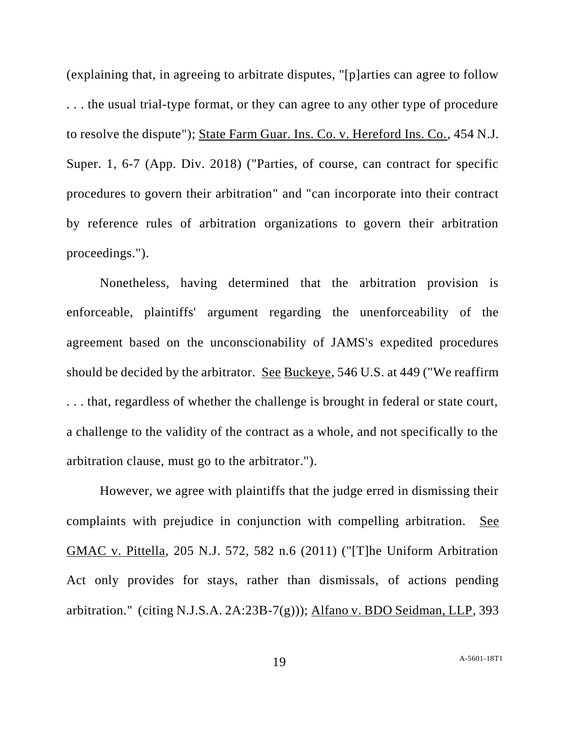(explaining that, in agreeing to arbitrate disputes, "[p]arties can agree to follow . . . the usual trial-type format, or they can agree to any other type of procedure to resolve the dispute"); State Farm Guar. Ins. Co. v. Hereford Ins. Co., 454 N.J. Super. 1, 6-7 (App. Div. 2018) ("Parties, of course, can contract for specific procedures to govern their arbitration" and "can incorporate into their contract by reference rules of arbitration organizations to govern their arbitration proceedings.").

Nonetheless, having determined that the arbitration provision is enforceable, plaintiffs' argument regarding the unenforceability of the agreement based on the unconscionability of JAMS's expedited procedures should be decided by the arbitrator. See Buckeye, 546 U.S. at 449 ("We reaffirm . . . that, regardless of whether the challenge is brought in federal or state court, a challenge to the validity of the contract as a whole, and not specifically to the arbitration clause, must go to the arbitrator.").

However, we agree with plaintiffs that the judge erred in dismissing their complaints with prejudice in conjunction with compelling arbitration. See GMAC v. Pittella, 205 N.J. 572, 582 n.6 (2011) ("[T]he Uniform Arbitration Act only provides for stays, rather than dismissals, of actions pending arbitration." (citing N.J.S.A. 2A:23B-7(g))); Alfano v. BDO Seidman, LLP, 393